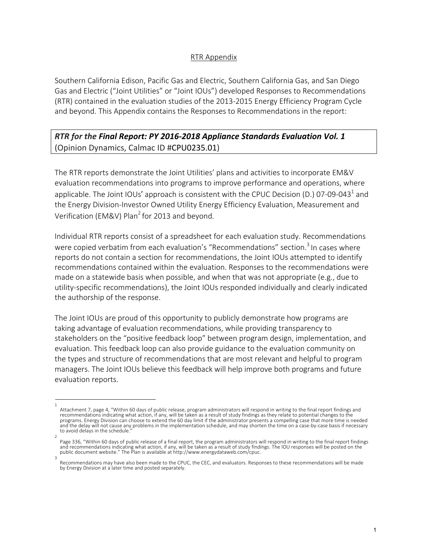## RTR Appendix

Southern California Edison, Pacific Gas and Electric, Southern California Gas, and San Diego Gas and Electric ("Joint Utilities" or "Joint IOUs") developed Responses to Recommendations (RTR) contained in the evaluation studies of the 2013-2015 Energy Efficiency Program Cycle and beyond. This Appendix contains the Responses to Recommendations in the report:

## *RTR for the Final Report: PY 2016-2018 Appliance Standards Evaluation Vol. 1* (Opinion Dynamics, Calmac ID #CPU0235.01)

The RTR reports demonstrate the Joint Utilities' plans and activities to incorporate EM&V evaluation recommendations into programs to improve performance and operations, where applicable. The Joint IOUs' approach is consistent with the CPUC Decision (D.) 07-09-043<sup>1</sup> and the Energy Division-Investor Owned Utility Energy Efficiency Evaluation, Measurement and Verification (EM&V) Plan<sup>2</sup> for 2013 and beyond.

Individual RTR reports consist of a spreadsheet for each evaluation study. Recommendations were copied verbatim from each evaluation's "Recommendations" section.<sup>3</sup> In cases where reports do not contain a section for recommendations, the Joint IOUs attempted to identify recommendations contained within the evaluation. Responses to the recommendations were made on a statewide basis when possible, and when that was not appropriate (e.g., due to utility-specific recommendations), the Joint IOUs responded individually and clearly indicated the authorship of the response.

The Joint IOUs are proud of this opportunity to publicly demonstrate how programs are taking advantage of evaluation recommendations, while providing transparency to stakeholders on the "positive feedback loop" between program design, implementation, and evaluation. This feedback loop can also provide guidance to the evaluation community on the types and structure of recommendations that are most relevant and helpful to program managers. The Joint IOUs believe this feedback will help improve both programs and future evaluation reports.

<sup>1</sup>  Attachment 7, page 4, "Within 60 days of public release, program administrators will respond in writing to the final report findings and recommendations indicating what action, if any, will be taken as a result of study findings as they relate to potential changes to the programs. Energy Division can choose to extend the 60 day limit if the administrator presents a compelling case that more time is needed and the delay will not cause any problems in the implementation schedule, and may shorten the time on a case-by-case basis if necessary to avoid delays in the schedule.

<sup>2</sup>  Page 336, "Within 60 days of public release of a final report, the program administrators will respond in writing to the final report findings and recommendations indicating what action, if any, will be taken as a result of study findings. The IOU responses will be posted on the<br>public document website." The Plan is available at http://www.energydataweb.com/cpuc.

Recommendations may have also been made to the CPUC, the CEC, and evaluators. Responses to these recommendations will be made by Energy Division at a later time and posted separately.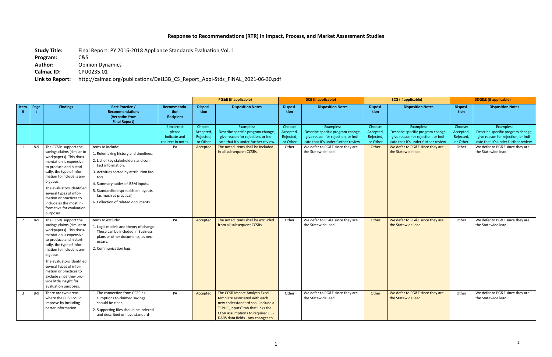## **Response to Recommendations (RTR) in Impact, Process, and Market Assessment Studies**

**Study Title:** Final Report: PY 2016-2018 Appliance Standards Evaluation Vol. 1

**Program:** C&S

Author: Opinion Dynamics

**Calmac ID:** CPU0235.01

**Link to Report:** http://calmac.org/publications/Del13B\_CS\_Report\_Appl-Stds\_FINAL\_2021-06-30.pdf

|                |       |                                                                                                                                                                                                                                                                                                                                                                          |                                                                                                                                                                                                                                                                                                                           |                                                               |                                               | <b>PG&amp;E</b> (if applicable)                                                                                                                                                                                  |                                               | <b>SCE</b> (if applicable)                                                                                                    |                                               | <b>SCG</b> (if applicable)                                                                                                    |                                               | <b>SDG&amp;E (if applicable)</b>                                                                                              |  |
|----------------|-------|--------------------------------------------------------------------------------------------------------------------------------------------------------------------------------------------------------------------------------------------------------------------------------------------------------------------------------------------------------------------------|---------------------------------------------------------------------------------------------------------------------------------------------------------------------------------------------------------------------------------------------------------------------------------------------------------------------------|---------------------------------------------------------------|-----------------------------------------------|------------------------------------------------------------------------------------------------------------------------------------------------------------------------------------------------------------------|-----------------------------------------------|-------------------------------------------------------------------------------------------------------------------------------|-----------------------------------------------|-------------------------------------------------------------------------------------------------------------------------------|-----------------------------------------------|-------------------------------------------------------------------------------------------------------------------------------|--|
| Item           | Page  | <b>Findings</b>                                                                                                                                                                                                                                                                                                                                                          | <b>Best Practice /</b><br><b>Recommendations</b><br>(Verbatim from<br><b>Final Report)</b>                                                                                                                                                                                                                                | Recommenda-<br>tion<br>Recipient                              | Disposi-<br>tion                              | <b>Disposition Notes</b>                                                                                                                                                                                         | Disposi-<br>tion                              | <b>Disposition Notes</b>                                                                                                      | <b>Disposi-</b><br>tion                       | <b>Disposition Notes</b>                                                                                                      | Disposi-<br>tion                              | <b>Disposition Notes</b>                                                                                                      |  |
|                |       |                                                                                                                                                                                                                                                                                                                                                                          |                                                                                                                                                                                                                                                                                                                           | If incorrect,<br>please<br>indicate and<br>redirect in notes. | Choose:<br>Accepted,<br>Rejected,<br>or Other | Examples:<br>Describe specific program change,<br>give reason for rejection, or indi-<br>cate that it's under further review.                                                                                    | Choose:<br>Accepted,<br>Rejected,<br>or Other | Examples:<br>Describe specific program change,<br>give reason for rejection, or indi-<br>cate that it's under further review. | Choose:<br>Accepted,<br>Rejected,<br>or Other | Examples:<br>Describe specific program change,<br>give reason for rejection, or indi-<br>cate that it's under further review. | Choose:<br>Accepted,<br>Rejected,<br>or Other | Examples:<br>Describe specific program change,<br>give reason for rejection, or indi-<br>cate that it's under further review. |  |
| 1              | 8-9   | The CCSRs support the<br>savings claims (similar to<br>workpapers). This docu-<br>mentation is expensive<br>to produce and histori-<br>cally, the type of infor-<br>mation to include is am-<br>biguous.<br>The evaluators identified<br>several types of infor-<br>mation or practices to<br>include as the most in-<br>formative for evaluation<br>purposes.           | Items to include:<br>1. Rulemaking history and timelines.<br>2. List of key stakeholders and con-<br>tact information.<br>3. Activities sorted by attribution fac-<br>tors.<br>4. Summary tables of ISSM inputs.<br>5. Standardized spreadsheet layouts<br>(as much as practical).<br>6. Collection of related documents. | PA                                                            | Accepted                                      | The noted items shall be included<br>in all subsequent CCSRs.                                                                                                                                                    | Other                                         | We defer to PG&E since they are<br>the Statewide lead.                                                                        | Other                                         | We defer to PG&E since they are<br>the Statewide lead.                                                                        | Other                                         | We defer to PG&E since they are<br>the Statewide lead.                                                                        |  |
| 2              | $8-9$ | The CCSRs support the<br>savings claims (similar to<br>workpapers). This docu-<br>mentation is expensive<br>to produce and histori-<br>cally, the type of infor-<br>mation to include is am-<br>biguous.<br>The evaluators identified<br>several types of infor-<br>mation or practices to<br>exclude since they pro-<br>vide little insight for<br>evaluation purposes. | Items to exclude:<br>1. Logic models and theory of change.<br>These can be included in Business<br>plans or other documents, as nec-<br>essary.<br>2. Communication logs.                                                                                                                                                 | PA                                                            | Accepted                                      | The noted items shall be excluded<br>from all subsequent CCSRs.                                                                                                                                                  | Other                                         | We defer to PG&E since they are<br>the Statewide lead.                                                                        | Other                                         | We defer to PG&E since they are<br>the Statewide lead.                                                                        | Other                                         | We defer to PG&E since they are<br>the Statewide lead.                                                                        |  |
| $\overline{3}$ | $8-9$ | There are two areas<br>where the CCSR could<br>improve by including<br>better information.                                                                                                                                                                                                                                                                               | 1. The connection from CCSR as-<br>sumptions to claimed savings<br>should be clear.<br>2. Supporting files should be indexed<br>and described or have standard-                                                                                                                                                           | PA                                                            | Accepted                                      | The CCSR Impact Analysis Excel<br>template associated with each<br>new code/standard shall include a<br>"CPUC_inputs" tab that links the<br>CCSR assumptions to required CE-<br>DARS data fields. Any changes to | Other                                         | We defer to PG&E since they are<br>the Statewide lead.                                                                        | Other                                         | We defer to PG&E since they are<br>the Statewide lead.                                                                        | Other                                         | We defer to PG&E since they are<br>the Statewide lead.                                                                        |  |